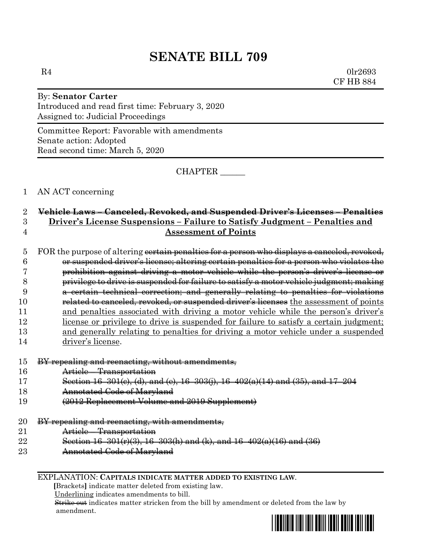# **SENATE BILL 709**

 $R4$  0lr2693 CF HB 884

## By: **Senator Carter** Introduced and read first time: February 3, 2020 Assigned to: Judicial Proceedings

Committee Report: Favorable with amendments Senate action: Adopted Read second time: March 5, 2020

CHAPTER \_\_\_\_\_\_

#### 1 AN ACT concerning

## 2 **Vehicle Laws – Canceled, Revoked, and Suspended Driver's Licenses – Penalties** 3 **Driver's License Suspensions – Failure to Satisfy Judgment – Penalties and**  4 **Assessment of Points**

### 5 FOR the purpose of altering cortain penalties for a person who displays a canceled, revoked, 6 or suspended driver's license; altering certain penalties for a person who violates the 7 prohibition against driving a motor vehicle while the person's driver's license or 8 privilege to drive is suspended for failure to satisfy a motor vehicle judgment; making 9 a certain technical correction; and generally relating to penalties for violations 10 related to canceled, revoked, or suspended driver's licenses the assessment of points 11 and penalties associated with driving a motor vehicle while the person's driver's 12 license or privilege to drive is suspended for failure to satisfy a certain judgment; 13 and generally relating to penalties for driving a motor vehicle under a suspended 14 driver's license.

- 15 BY repealing and reenacting, without amendments,
- 16 Article Transportation
- 17 Section 16–301(c), (d), and (e), 16–303(j), 16–402(a)(14) and (35), and 17–204
- 18 Annotated Code of Maryland
- 19 (2012 Replacement Volume and 2019 Supplement)
- 20 BY repealing and reenacting, with amendments,
- 21 Article Transportation
- 22 Section 16–301(r)(3), 16–303(h) and (k), and 16–402(a)(16) and (36)
- 23 Annotated Code of Maryland

#### EXPLANATION: **CAPITALS INDICATE MATTER ADDED TO EXISTING LAW**.

 **[**Brackets**]** indicate matter deleted from existing law.

Underlining indicates amendments to bill.

 Strike out indicates matter stricken from the bill by amendment or deleted from the law by amendment.

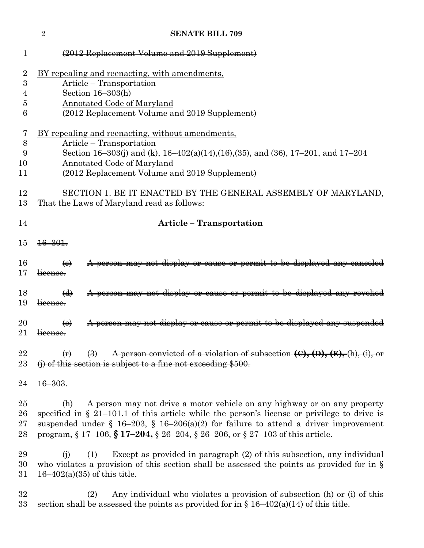|                | $\overline{2}$                                                                           | <b>SENATE BILL 709</b>                                                                        |  |  |  |  |
|----------------|------------------------------------------------------------------------------------------|-----------------------------------------------------------------------------------------------|--|--|--|--|
| 1              |                                                                                          | (2012 Replacement Volume and 2019 Supplement)                                                 |  |  |  |  |
| $\overline{2}$ | <u>BY repealing and reenacting, with amendments,</u>                                     |                                                                                               |  |  |  |  |
| 3              |                                                                                          | Article – Transportation                                                                      |  |  |  |  |
| 4              |                                                                                          | Section $16-303(h)$                                                                           |  |  |  |  |
| 5              |                                                                                          | <b>Annotated Code of Maryland</b>                                                             |  |  |  |  |
| 6              |                                                                                          | (2012 Replacement Volume and 2019 Supplement)                                                 |  |  |  |  |
| 7              |                                                                                          | <u>BY repealing and reenacting, without amendments,</u>                                       |  |  |  |  |
| 8              | Article – Transportation                                                                 |                                                                                               |  |  |  |  |
| 9              | Section 16-303(j) and (k), $16-402(a)(14),(16),(35)$ , and $(36), 17-201$ , and $17-204$ |                                                                                               |  |  |  |  |
| 10             | Annotated Code of Maryland                                                               |                                                                                               |  |  |  |  |
| 11             |                                                                                          | (2012 Replacement Volume and 2019 Supplement)                                                 |  |  |  |  |
| 12             |                                                                                          | SECTION 1. BE IT ENACTED BY THE GENERAL ASSEMBLY OF MARYLAND,                                 |  |  |  |  |
| 13             |                                                                                          | That the Laws of Maryland read as follows:                                                    |  |  |  |  |
| 14             |                                                                                          | <b>Article - Transportation</b>                                                               |  |  |  |  |
| 15             | $\frac{16 - 301}{20}$                                                                    |                                                                                               |  |  |  |  |
| 16             | $\leftrightarrow$                                                                        | A person may not display or cause or permit to be displayed any canceled                      |  |  |  |  |
| 17             | license.                                                                                 |                                                                                               |  |  |  |  |
| 18             | $\Theta$                                                                                 | A person may not display or cause or permit to be displayed any revoked                       |  |  |  |  |
| 19             | license.                                                                                 |                                                                                               |  |  |  |  |
|                |                                                                                          |                                                                                               |  |  |  |  |
| 20<br>21       | $\Theta$                                                                                 | A person may not display or cause or permit to be displayed any suspended                     |  |  |  |  |
|                | <del>license.</del>                                                                      |                                                                                               |  |  |  |  |
| 22             |                                                                                          | A person convicted of a violation of subsection $(C), (D), (E), (h),$                         |  |  |  |  |
| 23             |                                                                                          | $(i)$ of this section is subject to a fine not exceeding \$500.                               |  |  |  |  |
| 24             | $16 - 303.$                                                                              |                                                                                               |  |  |  |  |
| 25             | (h)                                                                                      | A person may not drive a motor vehicle on any highway or on any property                      |  |  |  |  |
| 26             |                                                                                          | specified in § 21-101.1 of this article while the person's license or privilege to drive is   |  |  |  |  |
| 27             |                                                                                          | suspended under § 16-203, § 16-206(a)(2) for failure to attend a driver improvement           |  |  |  |  |
| 28             |                                                                                          | program, § 17-106, § 17-204, § 26-204, § 26-206, or § 27-103 of this article.                 |  |  |  |  |
| 29             | (i)                                                                                      | Except as provided in paragraph (2) of this subsection, any individual<br>(1)                 |  |  |  |  |
| 30             |                                                                                          | who violates a provision of this section shall be assessed the points as provided for in $\S$ |  |  |  |  |
| 31             |                                                                                          | $16 - 402(a)(35)$ of this title.                                                              |  |  |  |  |
| 32             |                                                                                          | Any individual who violates a provision of subsection (h) or (i) of this<br>(2)               |  |  |  |  |
| 33             |                                                                                          | section shall be assessed the points as provided for in $\S 16-402(a)(14)$ of this title.     |  |  |  |  |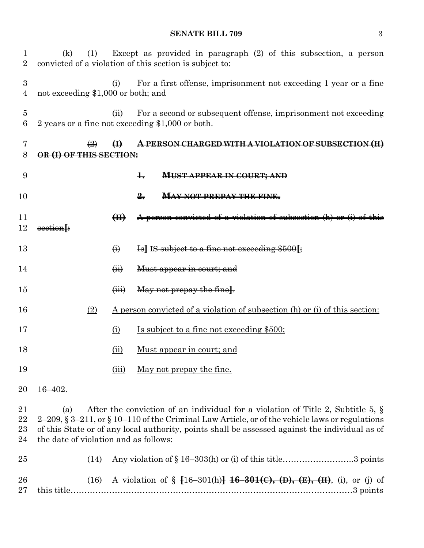#### **SENATE BILL 709** 3

| $\perp$<br>$\overline{2}$ | (1)<br>(k)                                                                                                                                                                                                                                                                                                                                    |                           | Except as provided in paragraph $(2)$ of this subsection, a person<br>convicted of a violation of this section is subject to: |  |  |
|---------------------------|-----------------------------------------------------------------------------------------------------------------------------------------------------------------------------------------------------------------------------------------------------------------------------------------------------------------------------------------------|---------------------------|-------------------------------------------------------------------------------------------------------------------------------|--|--|
| $\boldsymbol{3}$<br>4     | not exceeding \$1,000 or both; and                                                                                                                                                                                                                                                                                                            | (i)                       | For a first offense, imprisonment not exceeding 1 year or a fine                                                              |  |  |
| 5<br>6                    |                                                                                                                                                                                                                                                                                                                                               | (ii)                      | For a second or subsequent offense, imprisonment not exceeding<br>2 years or a fine not exceeding \$1,000 or both.            |  |  |
| 7<br>8                    | OR (I) OF THIS SECTION:                                                                                                                                                                                                                                                                                                                       |                           | A PERSON CHARGED WITH A VIOLATION OF SUBSECTION (H)                                                                           |  |  |
| 9                         |                                                                                                                                                                                                                                                                                                                                               |                           | $\pm$<br><b>MUST APPEAR IN COURT; AND</b>                                                                                     |  |  |
| 10                        |                                                                                                                                                                                                                                                                                                                                               |                           | $\frac{9}{2}$<br><b>MAY NOT PREPAY THE FINE.</b>                                                                              |  |  |
| 11<br>12                  | section+                                                                                                                                                                                                                                                                                                                                      | H                         | A person convicted of a violation of subsection (h) or (i)                                                                    |  |  |
| 13                        |                                                                                                                                                                                                                                                                                                                                               | $\bigoplus$               | Is] IS subject to a fine not exceeding \$500 f                                                                                |  |  |
| 14                        |                                                                                                                                                                                                                                                                                                                                               | $\overline{(\mathbf{H})}$ | Must appear in court; and                                                                                                     |  |  |
| 15                        |                                                                                                                                                                                                                                                                                                                                               | $\overline{u}$            | May not prepay the fine.                                                                                                      |  |  |
| 16                        | (2)                                                                                                                                                                                                                                                                                                                                           |                           | <u>A person convicted of a violation of subsection (h) or (i) of this section:</u>                                            |  |  |
| 17                        |                                                                                                                                                                                                                                                                                                                                               | $\Omega$                  | <u>Is subject to a fine not exceeding \$500;</u>                                                                              |  |  |
| 18                        |                                                                                                                                                                                                                                                                                                                                               | (ii)                      | <u>Must appear in court; and</u>                                                                                              |  |  |
| 19                        |                                                                                                                                                                                                                                                                                                                                               | (iii)                     | May not prepay the fine.                                                                                                      |  |  |
| 20                        | $16 - 402.$                                                                                                                                                                                                                                                                                                                                   |                           |                                                                                                                               |  |  |
| 21<br>22<br>23<br>24      | After the conviction of an individual for a violation of Title 2, Subtitle 5, $\S$<br>(a)<br>2-209, $\S 3-211$ , or $\S 10-110$ of the Criminal Law Article, or of the vehicle laws or regulations<br>of this State or of any local authority, points shall be assessed against the individual as of<br>the date of violation and as follows: |                           |                                                                                                                               |  |  |
| 25                        | (14)                                                                                                                                                                                                                                                                                                                                          |                           | Any violation of $\S 16-303(h)$ or (i) of this title3 points                                                                  |  |  |
| 26<br>27                  | (16)                                                                                                                                                                                                                                                                                                                                          |                           | A violation of $\S$ [16-301(h)] 16-301(c), (D), (E), (H), (i), or (j) of                                                      |  |  |